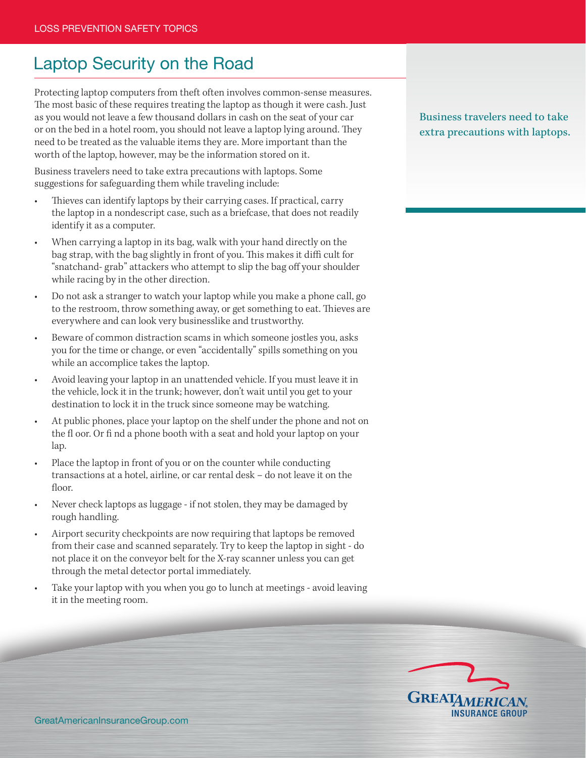## Laptop Security on the Road

Protecting laptop computers from theft often involves common-sense measures. The most basic of these requires treating the laptop as though it were cash. Just as you would not leave a few thousand dollars in cash on the seat of your car or on the bed in a hotel room, you should not leave a laptop lying around. They need to be treated as the valuable items they are. More important than the worth of the laptop, however, may be the information stored on it.

Business travelers need to take extra precautions with laptops. Some suggestions for safeguarding them while traveling include:

- Thieves can identify laptops by their carrying cases. If practical, carry the laptop in a nondescript case, such as a briefcase, that does not readily identify it as a computer.
- When carrying a laptop in its bag, walk with your hand directly on the bag strap, with the bag slightly in front of you. This makes it diffi cult for "snatchand- grab" attackers who attempt to slip the bag off your shoulder while racing by in the other direction.
- Do not ask a stranger to watch your laptop while you make a phone call, go to the restroom, throw something away, or get something to eat. Thieves are everywhere and can look very businesslike and trustworthy.
- Beware of common distraction scams in which someone jostles you, asks you for the time or change, or even "accidentally" spills something on you while an accomplice takes the laptop.
- Avoid leaving your laptop in an unattended vehicle. If you must leave it in the vehicle, lock it in the trunk; however, don't wait until you get to your destination to lock it in the truck since someone may be watching.
- At public phones, place your laptop on the shelf under the phone and not on the fl oor. Or fi nd a phone booth with a seat and hold your laptop on your lap.
- Place the laptop in front of you or on the counter while conducting transactions at a hotel, airline, or car rental desk – do not leave it on the floor.
- Never check laptops as luggage if not stolen, they may be damaged by rough handling.
- Airport security checkpoints are now requiring that laptops be removed from their case and scanned separately. Try to keep the laptop in sight - do not place it on the conveyor belt for the X-ray scanner unless you can get through the metal detector portal immediately.
- Take your laptop with you when you go to lunch at meetings avoid leaving it in the meeting room.

Business travelers need to take extra precautions with laptops.